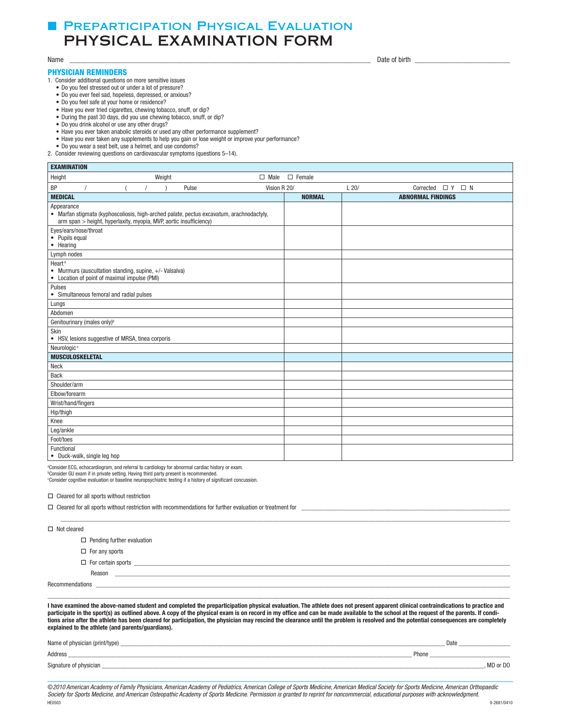# **F PREPARTICIPATION PHYSICAL EVALUATION** PHYSICAL EXAMINATION FORM

### PHYSICIAN REMINDERS

 1. Consider additional questions on more sensitive issues

- Do you feel stressed out or under a lot of pressure?
- • Do you ever feel sad, hopeless, depressed, or anxious?
- Do you feel safe at your home or residence?
- Have you ever tried cigarettes, chewing tobacco, snuff, or dip?
- During the past 30 days, did you use chewing tobacco, snuff, or dip?
- • Do you drink alcohol or use any other drugs?
- Have you ever taken anabolic steroids or used any other performance supplement?
- Have you ever taken any supplements to help you gain or lose weight or improve your performance?
- • Do you wear a seat belt, use a helmet, and use condoms?
- 2. Consider reviewing questions on cardiovascular symptoms (questions 5–14).

| <b>EXAMINATION</b>                                                                                                                                                           |               |                                     |
|------------------------------------------------------------------------------------------------------------------------------------------------------------------------------|---------------|-------------------------------------|
| Weight<br>Height<br>$\Box$ Male                                                                                                                                              | $\Box$ Female |                                     |
| BP<br>Pulse<br>Vision R 20/                                                                                                                                                  |               | L20/<br>Corrected $\Box$ Y $\Box$ N |
| <b>MEDICAL</b>                                                                                                                                                               | <b>NORMAL</b> | <b>ABNORMAL FINDINGS</b>            |
| Appearance<br>• Marfan stigmata (kyphoscoliosis, high-arched palate, pectus excavatum, arachnodactyly,<br>arm span > height, hyperlaxity, myopia, MVP, aortic insufficiency) |               |                                     |
| Eyes/ears/nose/throat<br>• Pupils equal<br>• Hearing                                                                                                                         |               |                                     |
| Lymph nodes                                                                                                                                                                  |               |                                     |
| Heart <sup>a</sup><br>• Murmurs (auscultation standing, supine, +/- Valsalva)<br>• Location of point of maximal impulse (PMI)                                                |               |                                     |
| Pulses<br>• Simultaneous femoral and radial pulses                                                                                                                           |               |                                     |
| Lungs                                                                                                                                                                        |               |                                     |
| Abdomen                                                                                                                                                                      |               |                                     |
| Genitourinary (males only) <sup>b</sup>                                                                                                                                      |               |                                     |
| Skin<br>• HSV, lesions suggestive of MRSA, tinea corporis                                                                                                                    |               |                                     |
| Neurologic <sup>c</sup>                                                                                                                                                      |               |                                     |
| <b>MUSCULOSKELETAL</b>                                                                                                                                                       |               |                                     |
| Neck                                                                                                                                                                         |               |                                     |
| Back                                                                                                                                                                         |               |                                     |
| Shoulder/arm                                                                                                                                                                 |               |                                     |
| Elbow/forearm                                                                                                                                                                |               |                                     |
| Wrist/hand/fingers                                                                                                                                                           |               |                                     |
| Hip/thigh                                                                                                                                                                    |               |                                     |
| Knee                                                                                                                                                                         |               |                                     |
| Leg/ankle                                                                                                                                                                    |               |                                     |
| Foot/toes                                                                                                                                                                    |               |                                     |
| Functional<br>• Duck-walk, single leg hop                                                                                                                                    |               |                                     |

<sup>a</sup>Consider ECG, echocardiogram, and referral to cardiology for abnormal cardiac history or exam.

 b Consider GU exam if in private setting. Having third party present is recommended. c Consider cognitive evaluation or baseline neuropsychiatric testing if a history of signifcant concussion.

 $\Box$  Cleared for all sports without restriction

| $\Box$ Cleared for all sports without restriction with recommendations for further evaluation or treatment for |  |  |  |  |  |
|----------------------------------------------------------------------------------------------------------------|--|--|--|--|--|
|                                                                                                                |  |  |  |  |  |
| $\Box$ Not cleared                                                                                             |  |  |  |  |  |
| $\Box$ Pending further evaluation                                                                              |  |  |  |  |  |
| $\Box$ For any sports                                                                                          |  |  |  |  |  |
| $\Box$ For certain sports                                                                                      |  |  |  |  |  |
| Reason                                                                                                         |  |  |  |  |  |
|                                                                                                                |  |  |  |  |  |
|                                                                                                                |  |  |  |  |  |

I have examined the above-named student and completed the preparticipation physical evaluation. The athlete does not present apparent clinical contraindications to practice and participate in the sport(s) as outlined above. A copy of the physical exam is on record in my office and can be made available to the school at the request of the parents. If conditions arise after the athlete has been cleared for participation, the physician may rescind the clearance until the problem is resolved and the potential consequences are completely explained to the athlete (and parents/guardians).

| Name of physician (print/type) | Date       |
|--------------------------------|------------|
| Address                        | Phone      |
| Signature of physician         | . MD or DO |

©*2010 American Academy of Family Physicians, American Academy of Pediatrics, American College of Sports Medicine, American Medical Society for Sports Medicine, American Orthopaedic*  Society for Sports Medicine, and American Osteopathic Academy of Sports Medicine. Permission is granted to reprint for noncommercial, educational purposes with acknowledgment.<br>HEGEOS HE0503 9-2681/0410

Date of birth Name \_\_\_\_\_\_\_\_\_\_\_\_\_\_\_\_\_\_\_\_\_\_\_\_\_\_\_\_\_\_\_\_\_\_\_\_\_\_\_\_\_\_\_\_\_\_\_\_\_\_\_\_\_\_\_\_\_\_\_\_\_\_\_\_\_\_\_\_\_\_\_\_\_\_\_\_\_\_\_\_\_\_ Date of birth \_\_\_\_\_\_\_\_\_\_\_\_\_\_\_\_\_\_\_\_\_\_\_\_\_\_